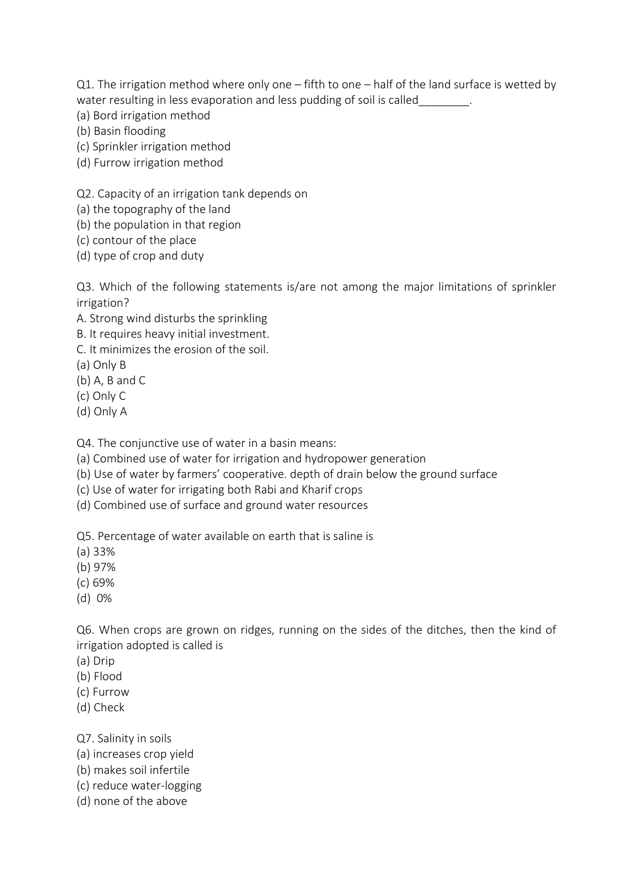Q1. The irrigation method where only one – fifth to one – half of the land surface is wetted by water resulting in less evaporation and less pudding of soil is called

- (a) Bord irrigation method
- (b) Basin flooding
- (c) Sprinkler irrigation method
- (d) Furrow irrigation method

Q2. Capacity of an irrigation tank depends on

- (a) the topography of the land
- (b) the population in that region
- (c) contour of the place
- (d) type of crop and duty

Q3. Which of the following statements is/are not among the major limitations of sprinkler irrigation?

- A. Strong wind disturbs the sprinkling
- B. It requires heavy initial investment.
- C. It minimizes the erosion of the soil.
- (a) Only B
- (b) A, B and C
- (c) Only C
- (d) Only A

Q4. The conjunctive use of water in a basin means:

- (a) Combined use of water for irrigation and hydropower generation
- (b) Use of water by farmers' cooperative. depth of drain below the ground surface
- (c) Use of water for irrigating both Rabi and Kharif crops
- (d) Combined use of surface and ground water resources

Q5. Percentage of water available on earth that is saline is

- (a) 33%
- (b) 97%
- (c) 69%
- (d) 0%

Q6. When crops are grown on ridges, running on the sides of the ditches, then the kind of irrigation adopted is called is

- (a) Drip
- (b) Flood
- (c) Furrow
- (d) Check
- Q7. Salinity in soils
- (a) increases crop yield
- (b) makes soil infertile
- (c) reduce water-logging
- (d) none of the above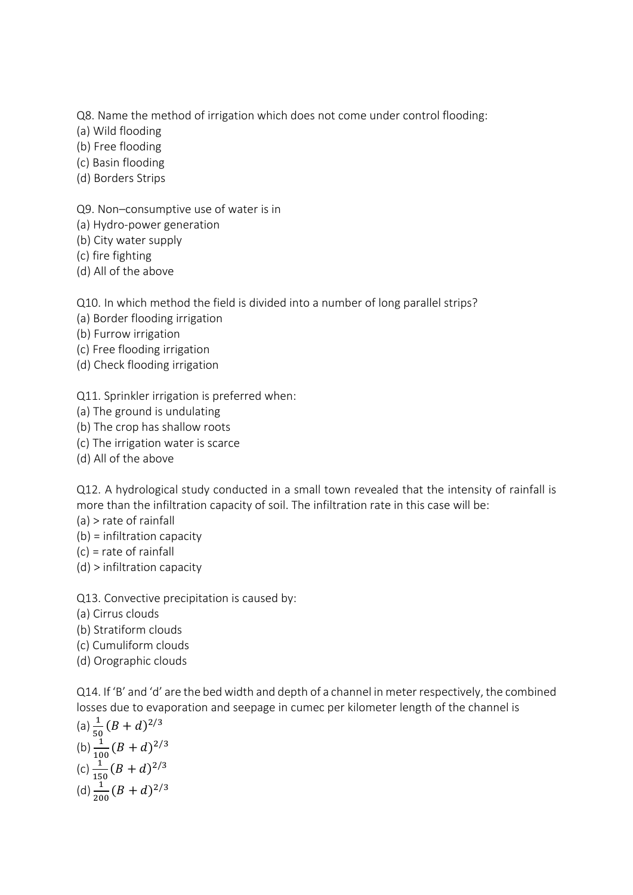Q8. Name the method of irrigation which does not come under control flooding:

- (a) Wild flooding
- (b) Free flooding
- (c) Basin flooding
- (d) Borders Strips

Q9. Non–consumptive use of water is in

- (a) Hydro-power generation
- (b) City water supply
- (c) fire fighting
- (d) All of the above

Q10. In which method the field is divided into a number of long parallel strips?

- (a) Border flooding irrigation
- (b) Furrow irrigation
- (c) Free flooding irrigation
- (d) Check flooding irrigation

Q11. Sprinkler irrigation is preferred when:

- (a) The ground is undulating
- (b) The crop has shallow roots
- (c) The irrigation water is scarce
- (d) All of the above

Q12. A hydrological study conducted in a small town revealed that the intensity of rainfall is more than the infiltration capacity of soil. The infiltration rate in this case will be:

- (a) > rate of rainfall
- (b) = infiltration capacity
- (c) = rate of rainfall
- (d) > infiltration capacity

Q13. Convective precipitation is caused by:

- (a) Cirrus clouds
- (b) Stratiform clouds
- (c) Cumuliform clouds
- (d) Orographic clouds

Q14. If 'B' and 'd' are the bed width and depth of a channel in meter respectively, the combined losses due to evaporation and seepage in cumec per kilometer length of the channel is

(a) 
$$
\frac{1}{50}(B + d)^{2/3}
$$
  
\n(b)  $\frac{1}{100}(B + d)^{2/3}$   
\n(c)  $\frac{1}{150}(B + d)^{2/3}$   
\n(d)  $\frac{1}{200}(B + d)^{2/3}$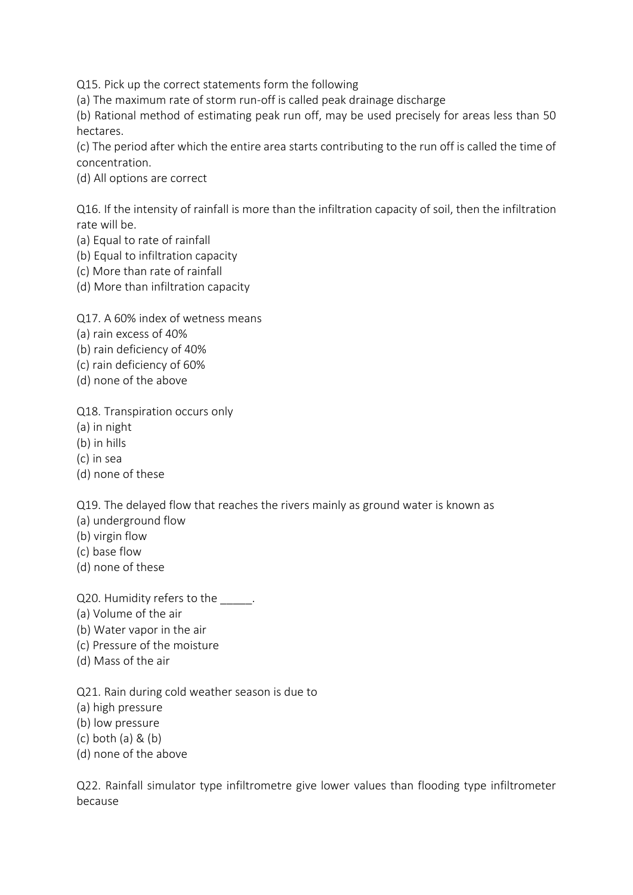Q15. Pick up the correct statements form the following

(a) The maximum rate of storm run-off is called peak drainage discharge

(b) Rational method of estimating peak run off, may be used precisely for areas less than 50 hectares.

(c) The period after which the entire area starts contributing to the run off is called the time of concentration.

(d) All options are correct

Q16. If the intensity of rainfall is more than the infiltration capacity of soil, then the infiltration rate will be.

(a) Equal to rate of rainfall

(b) Equal to infiltration capacity

(c) More than rate of rainfall

(d) More than infiltration capacity

Q17. A 60% index of wetness means

(a) rain excess of 40%

(b) rain deficiency of 40%

(c) rain deficiency of 60%

(d) none of the above

Q18. Transpiration occurs only

(a) in night

(b) in hills

(c) in sea

(d) none of these

Q19. The delayed flow that reaches the rivers mainly as ground water is known as

- (a) underground flow
- (b) virgin flow

(c) base flow

(d) none of these

Q20. Humidity refers to the  $\qquad \qquad$ .

(a) Volume of the air

(b) Water vapor in the air

- (c) Pressure of the moisture
- (d) Mass of the air

Q21. Rain during cold weather season is due to

(a) high pressure

(b) low pressure

(c) both (a) & (b)

(d) none of the above

Q22. Rainfall simulator type infiltrometre give lower values than flooding type infiltrometer because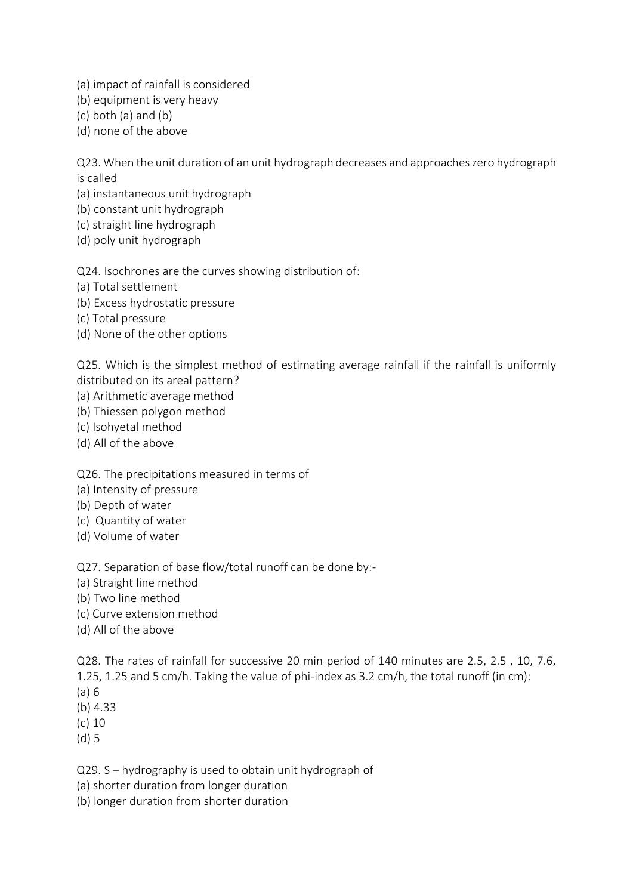(a) impact of rainfall is considered

(b) equipment is very heavy

(c) both (a) and (b)

(d) none of the above

Q23. When the unit duration of an unit hydrograph decreases and approaches zero hydrograph is called

(a) instantaneous unit hydrograph

(b) constant unit hydrograph

(c) straight line hydrograph

(d) poly unit hydrograph

Q24. Isochrones are the curves showing distribution of:

(a) Total settlement

(b) Excess hydrostatic pressure

(c) Total pressure

(d) None of the other options

Q25. Which is the simplest method of estimating average rainfall if the rainfall is uniformly distributed on its areal pattern?

(a) Arithmetic average method

(b) Thiessen polygon method

(c) Isohyetal method

(d) All of the above

Q26. The precipitations measured in terms of

(a) Intensity of pressure

(b) Depth of water

(c) Quantity of water

(d) Volume of water

Q27. Separation of base flow/total runoff can be done by:-

(a) Straight line method

(b) Two line method

(c) Curve extension method

(d) All of the above

Q28. The rates of rainfall for successive 20 min period of 140 minutes are 2.5, 2.5 , 10, 7.6, 1.25, 1.25 and 5 cm/h. Taking the value of phi-index as 3.2 cm/h, the total runoff (in cm): (a) 6

(b) 4.33

(c) 10

(d) 5

Q29. S – hydrography is used to obtain unit hydrograph of

(a) shorter duration from longer duration

(b) longer duration from shorter duration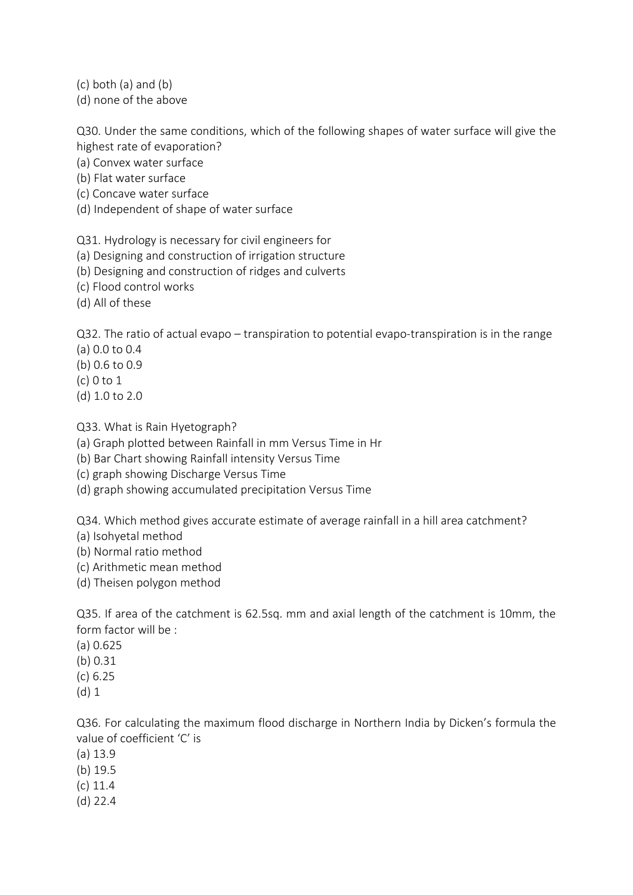(c) both (a) and (b)

(d) none of the above

Q30. Under the same conditions, which of the following shapes of water surface will give the highest rate of evaporation?

- (a) Convex water surface
- (b) Flat water surface
- (c) Concave water surface
- (d) Independent of shape of water surface

Q31. Hydrology is necessary for civil engineers for

- (a) Designing and construction of irrigation structure
- (b) Designing and construction of ridges and culverts
- (c) Flood control works
- (d) All of these

Q32. The ratio of actual evapo – transpiration to potential evapo-transpiration is in the range

- (a) 0.0 to 0.4
- (b) 0.6 to 0.9
- (c) 0 to 1
- (d) 1.0 to 2.0

Q33. What is Rain Hyetograph?

- (a) Graph plotted between Rainfall in mm Versus Time in Hr
- (b) Bar Chart showing Rainfall intensity Versus Time
- (c) graph showing Discharge Versus Time
- (d) graph showing accumulated precipitation Versus Time

Q34. Which method gives accurate estimate of average rainfall in a hill area catchment?

- (a) Isohyetal method
- (b) Normal ratio method
- (c) Arithmetic mean method
- (d) Theisen polygon method

Q35. If area of the catchment is 62.5sq. mm and axial length of the catchment is 10mm, the form factor will be :

- (a) 0.625
- (b) 0.31
- (c) 6.25
- (d) 1

Q36. For calculating the maximum flood discharge in Northern India by Dicken's formula the value of coefficient 'C' is

- (a) 13.9
- (b) 19.5
- (c) 11.4
- (d) 22.4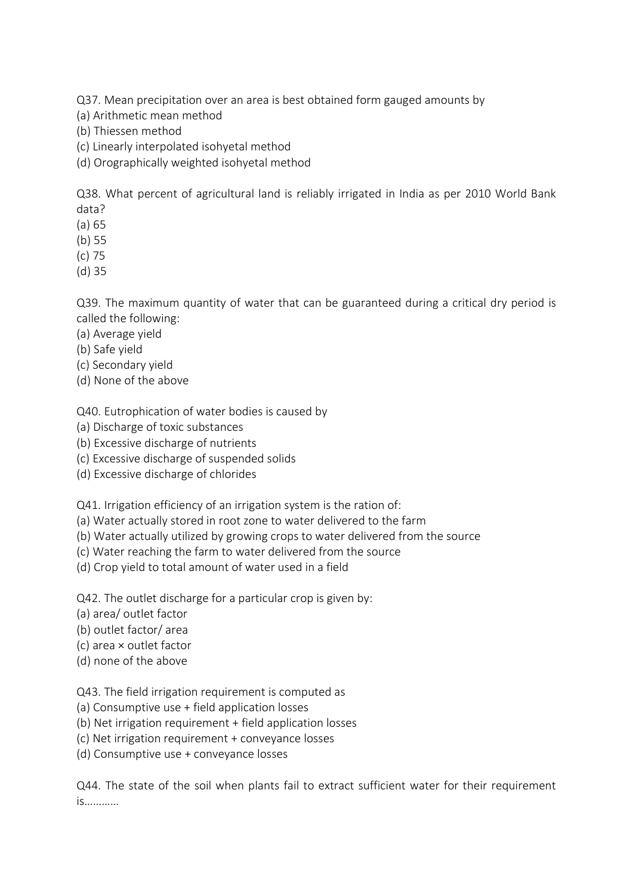Q37. Mean precipitation over an area is best obtained form gauged amounts by

- (a) Arithmetic mean method
- (b) Thiessen method
- (c) Linearly interpolated isohyetal method
- (d) Orographically weighted isohyetal method

Q38. What percent of agricultural land is reliably irrigated in India as per 2010 World Bank data?

- (a) 65
- (b) 55
- (c) 75
- (d) 35

Q39. The maximum quantity of water that can be guaranteed during a critical dry period is called the following:

- (a) Average yield
- (b) Safe yield
- (c) Secondary yield
- (d) None of the above

Q40. Eutrophication of water bodies is caused by

- (a) Discharge of toxic substances
- (b) Excessive discharge of nutrients
- (c) Excessive discharge of suspended solids
- (d) Excessive discharge of chlorides

Q41. Irrigation efficiency of an irrigation system is the ration of:

- (a) Water actually stored in root zone to water delivered to the farm
- (b) Water actually utilized by growing crops to water delivered from the source
- (c) Water reaching the farm to water delivered from the source
- (d) Crop yield to total amount of water used in a field

Q42. The outlet discharge for a particular crop is given by:

- (a) area/ outlet factor
- (b) outlet factor/ area
- (c) area × outlet factor
- (d) none of the above

Q43. The field irrigation requirement is computed as

- (a) Consumptive use + field application losses
- (b) Net irrigation requirement + field application losses
- (c) Net irrigation requirement + conveyance losses
- (d) Consumptive use + conveyance losses

Q44. The state of the soil when plants fail to extract sufficient water for their requirement is…………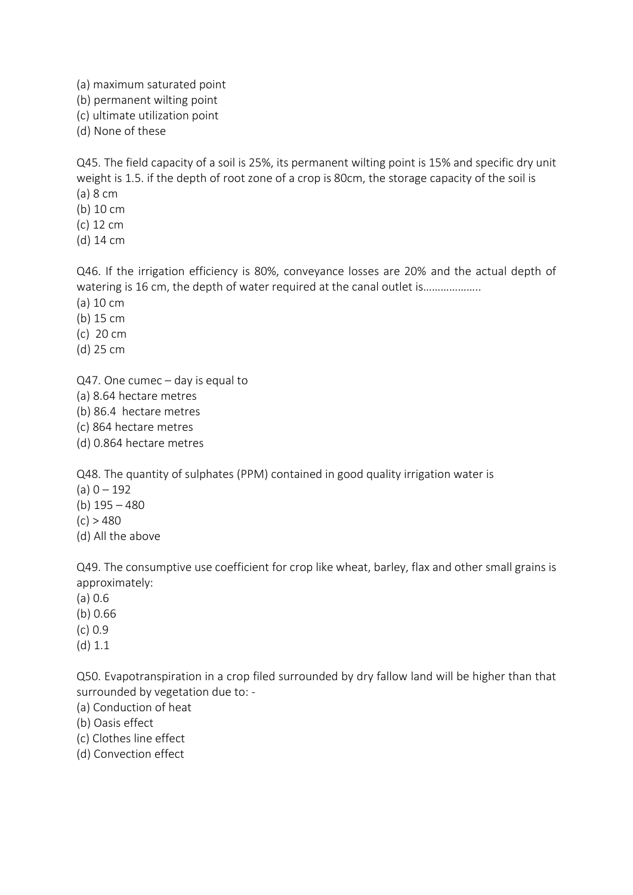(a) maximum saturated point

(b) permanent wilting point

(c) ultimate utilization point

(d) None of these

Q45. The field capacity of a soil is 25%, its permanent wilting point is 15% and specific dry unit weight is 1.5. if the depth of root zone of a crop is 80cm, the storage capacity of the soil is (a) 8 cm

(b) 10 cm

(c) 12 cm

(d) 14 cm

Q46. If the irrigation efficiency is 80%, conveyance losses are 20% and the actual depth of watering is 16 cm, the depth of water required at the canal outlet is...................

(a) 10 cm

(b) 15 cm

(c) 20 cm

(d) 25 cm

Q47. One cumec – day is equal to

(a) 8.64 hectare metres

(b) 86.4 hectare metres

(c) 864 hectare metres

(d) 0.864 hectare metres

Q48. The quantity of sulphates (PPM) contained in good quality irrigation water is

 $(a) 0 - 192$ 

(b) 195 – 480

 $(c) > 480$ 

(d) All the above

Q49. The consumptive use coefficient for crop like wheat, barley, flax and other small grains is approximately:

(a) 0.6

(b) 0.66

(c) 0.9

(d) 1.1

Q50. Evapotranspiration in a crop filed surrounded by dry fallow land will be higher than that surrounded by vegetation due to: -

(a) Conduction of heat

(b) Oasis effect

(c) Clothes line effect

(d) Convection effect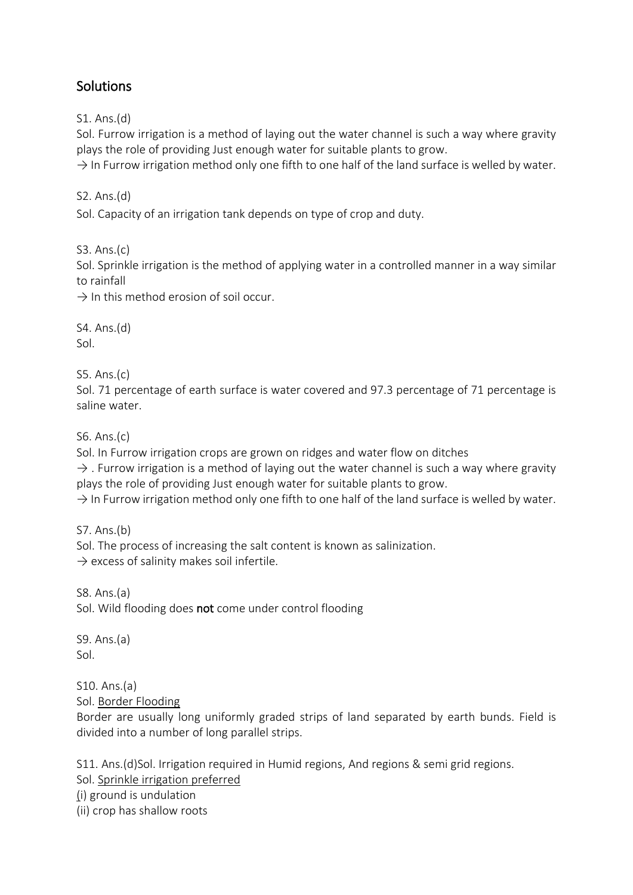## **Solutions**

S1. Ans.(d)

Sol. Furrow irrigation is a method of laying out the water channel is such a way where gravity plays the role of providing Just enough water for suitable plants to grow.

 $\rightarrow$  In Furrow irrigation method only one fifth to one half of the land surface is welled by water.

S2. Ans.(d)

Sol. Capacity of an irrigation tank depends on type of crop and duty.

S3. Ans.(c)

Sol. Sprinkle irrigation is the method of applying water in a controlled manner in a way similar to rainfall

 $\rightarrow$  In this method erosion of soil occur.

S4. Ans.(d) Sol.

S5. Ans.(c)

Sol. 71 percentage of earth surface is water covered and 97.3 percentage of 71 percentage is saline water.

S6. Ans.(c)

Sol. In Furrow irrigation crops are grown on ridges and water flow on ditches

 $\rightarrow$  . Furrow irrigation is a method of laying out the water channel is such a way where gravity plays the role of providing Just enough water for suitable plants to grow.

 $\rightarrow$  In Furrow irrigation method only one fifth to one half of the land surface is welled by water.

S7. Ans.(b)

Sol. The process of increasing the salt content is known as salinization.

 $\rightarrow$  excess of salinity makes soil infertile.

S8. Ans.(a) Sol. Wild flooding does not come under control flooding

S9. Ans.(a) Sol.

S10. Ans.(a) Sol. Border Flooding

Border are usually long uniformly graded strips of land separated by earth bunds. Field is divided into a number of long parallel strips.

S11. Ans.(d)Sol. Irrigation required in Humid regions, And regions & semi grid regions.

Sol. Sprinkle irrigation preferred

(i) ground is undulation

(ii) crop has shallow roots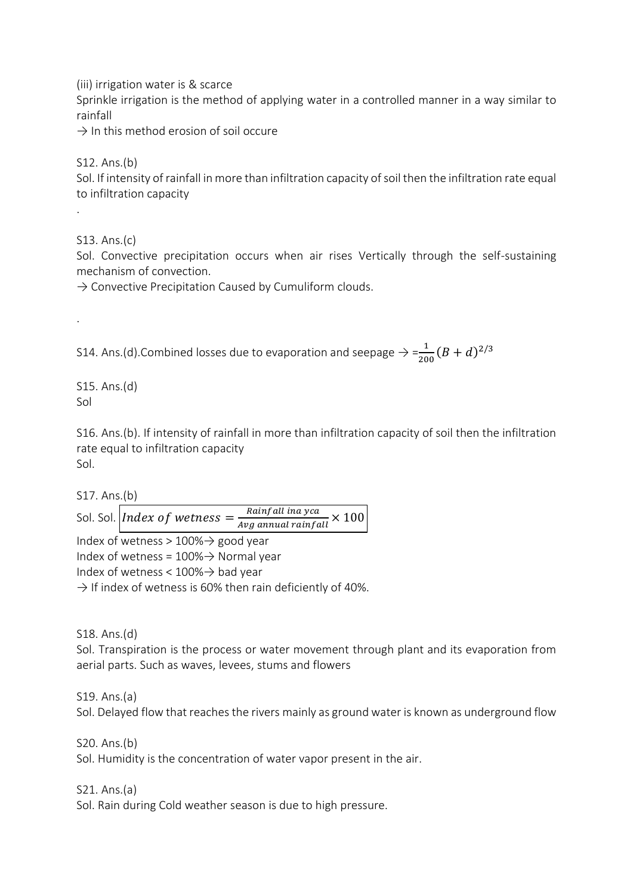(iii) irrigation water is & scarce

Sprinkle irrigation is the method of applying water in a controlled manner in a way similar to rainfall

 $\rightarrow$  In this method erosion of soil occure

S12. Ans.(b)

Sol. If intensity of rainfall in more than infiltration capacity of soil then the infiltration rate equal to infiltration capacity

S13. Ans.(c)

.

.

Sol. Convective precipitation occurs when air rises Vertically through the self-sustaining mechanism of convection.

 $\rightarrow$  Convective Precipitation Caused by Cumuliform clouds.

S14. Ans.(d).Combined losses due to evaporation and seepage  $\Rightarrow = \frac{1}{200} (B + d)^{2/3}$ 

S15. Ans.(d) Sol

S16. Ans.(b). If intensity of rainfall in more than infiltration capacity of soil then the infiltration rate equal to infiltration capacity Sol.

S17. Ans.(b)

Sol. Sol. *Index of wetness* =  $\frac{Rainfall \, ina \, yca}{the \, gauge \, using \, gain \, fac}$  $\frac{1}{Avg}$  annual rainfall  $\times$  100

Index of wetness >  $100\%$   $\rightarrow$  good year Index of wetness =  $100\%$   $\rightarrow$  Normal year Index of wetness <  $100\%$   $\rightarrow$  bad year  $\rightarrow$  If index of wetness is 60% then rain deficiently of 40%.

S18. Ans.(d)

Sol. Transpiration is the process or water movement through plant and its evaporation from aerial parts. Such as waves, levees, stums and flowers

S19. Ans.(a)

Sol. Delayed flow that reaches the rivers mainly as ground water is known as underground flow

S20. Ans.(b)

Sol. Humidity is the concentration of water vapor present in the air.

S21. Ans.(a)

Sol. Rain during Cold weather season is due to high pressure.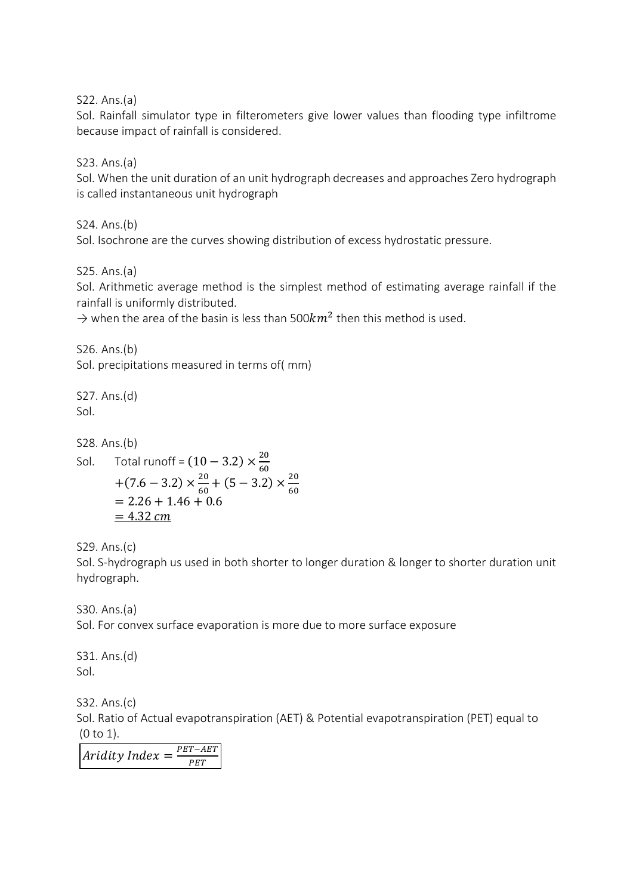S22. Ans.(a)

Sol. Rainfall simulator type in filterometers give lower values than flooding type infiltrome because impact of rainfall is considered.

S23. Ans.(a)

Sol. When the unit duration of an unit hydrograph decreases and approaches Zero hydrograph is called instantaneous unit hydrograph

S24. Ans.(b)

Sol. Isochrone are the curves showing distribution of excess hydrostatic pressure.

S25. Ans.(a)

Sol. Arithmetic average method is the simplest method of estimating average rainfall if the rainfall is uniformly distributed.

 $\rightarrow$  when the area of the basin is less than 500 $km^2$  then this method is used.

S26. Ans.(b) Sol. precipitations measured in terms of( mm)

S27. Ans.(d) Sol.

S28. Ans.(b)

Sol. Total runoff =  $(10 - 3.2) \times \frac{20}{60}$ 60  $+(7.6 - 3.2) \times \frac{20}{6}$  $\frac{20}{60} + (5 - 3.2) \times \frac{20}{60}$ 60  $= 2.26 + 1.46 + 0.6$  $= 4.32$  cm

S29. Ans.(c)

Sol. S-hydrograph us used in both shorter to longer duration & longer to shorter duration unit hydrograph.

S30. Ans.(a) Sol. For convex surface evaporation is more due to more surface exposure

S31. Ans.(d) Sol.

S32. Ans.(c) Sol. Ratio of Actual evapotranspiration (AET) & Potential evapotranspiration (PET) equal to (0 to 1).

Aridity Index  $=\frac{PET-AET}{DET}$ **PET**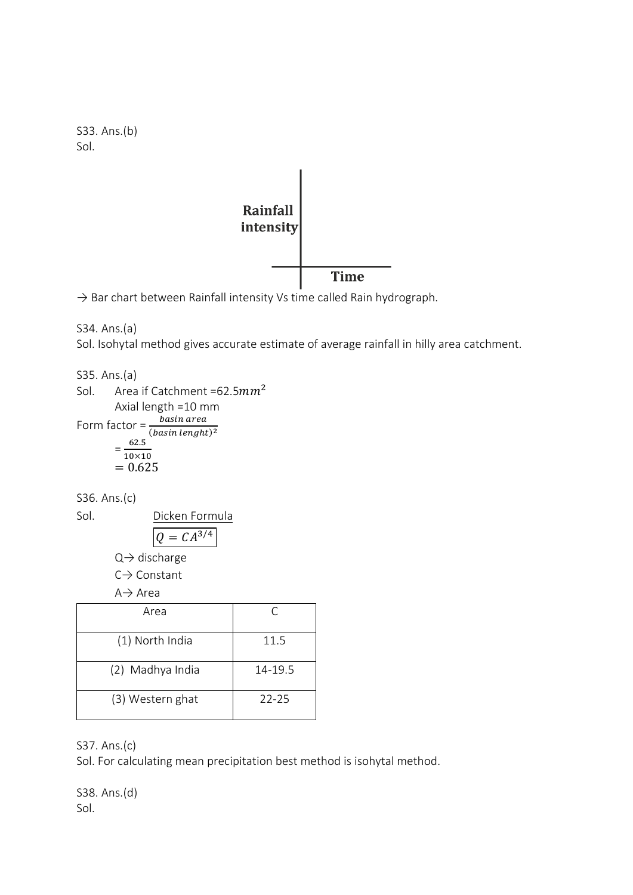



 $\rightarrow$  Bar chart between Rainfall intensity Vs time called Rain hydrograph.

S34. Ans.(a) Sol. Isohytal method gives accurate estimate of average rainfall in hilly area catchment.

S35. Ans.(a) Sol. Area if Catchment =62.5 $mm<sup>2</sup>$ Axial length =10 mm Form factor =  $\frac{basin\ area}{(basin\ length t)^2}$ = 62.5  $10\times10$  $= 0.625$ 

S36. Ans.(c)

Sol. 
$$
\frac{\text{Dicken Formula}}{Q = CA^{3/4}}
$$

 $Q \rightarrow$  discharge

C→ Constant

A→ Area

| Area             |           |
|------------------|-----------|
| (1) North India  | 11.5      |
| (2) Madhya India | 14-19.5   |
| (3) Western ghat | $22 - 25$ |

S37. Ans.(c)

Sol. For calculating mean precipitation best method is isohytal method.

S38. Ans.(d) Sol.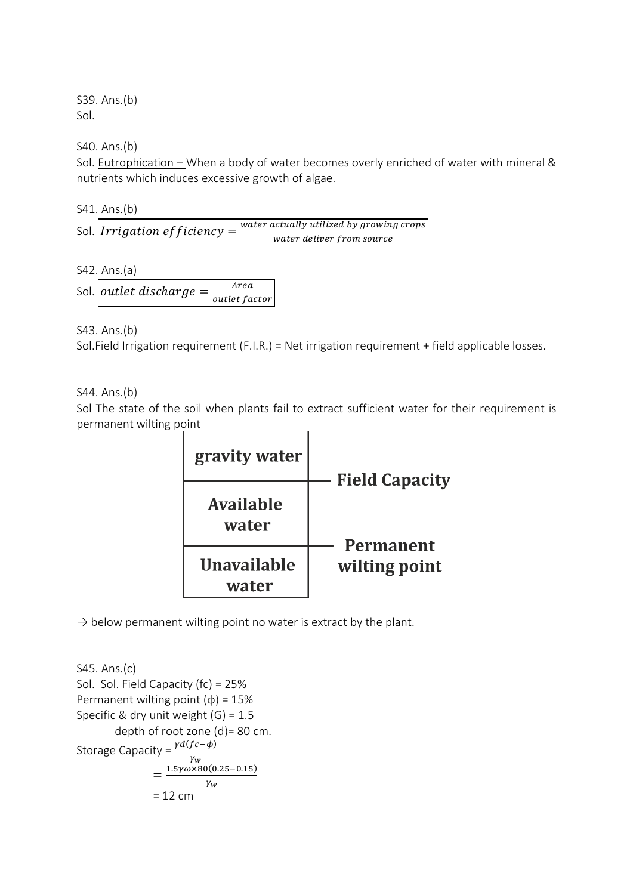S39. Ans.(b) Sol.

S40. Ans.(b)

Sol. Eutrophication – When a body of water becomes overly enriched of water with mineral & nutrients which induces excessive growth of algae.

S41. Ans.(b)

|  | Sol. <i>Irrigation efficiency</i> = | water actually utilized by growing crops |
|--|-------------------------------------|------------------------------------------|
|  |                                     | water deliver from source                |

S42. Ans.(a)

Sol. *outlet discharge* =  $\frac{Area}{c}$ outlet factor

S43. Ans.(b)

Sol.Field Irrigation requirement (F.I.R.) = Net irrigation requirement + field applicable losses.

S44. Ans.(b)

Sol The state of the soil when plants fail to extract sufficient water for their requirement is permanent wilting point



 $\rightarrow$  below permanent wilting point no water is extract by the plant.

```
S45. Ans.(c)
Sol. Sol. Field Capacity (fc) = 25%
Permanent wilting point (\phi) = 15\%Specific & dry unit weight (G) = 1.5depth of root zone (d)= 80 cm.
Storage Capacity = \frac{\gamma d (fc - \phi)}{2}\gamma_w=\frac{1.5\gamma\omega\times80(0.25-0.15)}{10}\gamma_w= 12 cm
```